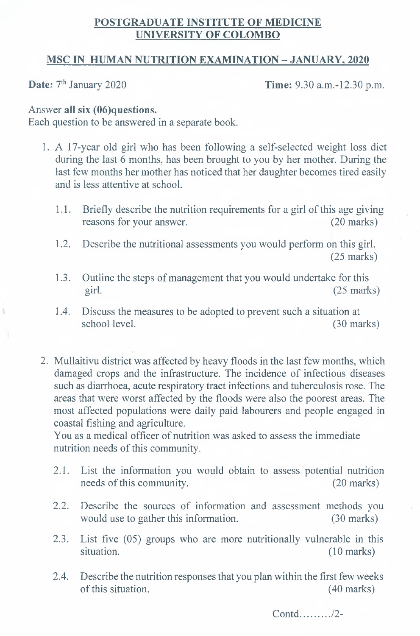## **POSTGRADUATE INSTITUTE OF MEDICINE UNIVERSITY OF COLOMBO**

## **MSC IN HUMAN NUTRITION EXAMINATION - JANUARY, 2020**

**Date:**  $7<sup>th</sup> January 2020$  **Time:** 9.30 a.m.-12.30 p.m.

## Answer **all six (06)questions.**

Each question to be answered in a separate book.

- 1. A 17-year old girl who has been following a self-selected weight loss diet during the last 6 months, has been brought to you by her mother. During the last few months her mother has noticed that her daughter becomes tired easily and is less attentive at school.
	- 1.1. Briefly describe the nutrition requirements for a girl of this age giving reasons for your answer. (20 marks)
	- 1.2. Describe the nutritional assessments you would perform on this girl. (25 marks)
	- 1.3. Outline the steps of management that you would undertake for this girl. (25 marks)
	- 1.4. Discuss the measures to be adopted to prevent such a situation at school level. (30 marks)
- 2. Mullaitivu district was affected by heavy floods in the last few months, which damaged crops and the infrastructure. The incidence of infectious diseases such as diarrhoea, acute respiratory tract infections and tuberculosis rose. The areas that were worst affected by the floods were also the poorest areas. The most affected populations were daily paid labourers and people engaged in coastal fishing and agriculture.

You as a medical officer of nutrition was asked to assess the immediate nutrition needs of this community.

- 2.1. List the information you would obtain to assess potential nutrition needs of this community. (20 marks)
- 2.2. Describe the sources of information and assessment methods you would use to gather this information. (30 marks)
- 2.3. List five (05) groups who are more nutritionally vulnerable in this situation. (10 marks)
- 2.4. Describe the nutrition responses that you plan within the first few weeks of this situation. (40 marks)

Contd........./2-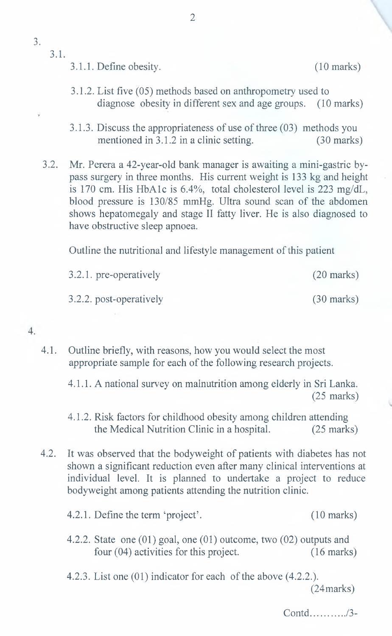v

## 3.1.

- 3.1.1. Define obesity. (10 marks)
	-
- 3.1.2. List five (05) methods based on anthropometry used to diagnose obesity in different sex and age groups. (10 marks)
- 3.1.3. Discuss the appropriateness of use of three (03) methods you mentioned in 3.1.2 in a clinic setting. (30 marks)

3.2. Mr. Perera a 42-year-old bank manager is awaiting a mini-gastric bypass surgery in three months. His current weight is 133 kg and height is 170 cm. His HbAlc is 6.4%, total cholesterol level is 223 mg/dL, blood pressure is 130/85 mmHg. Ultra sound scan of the abdomen shows hepatomegaly and stage II fatty liver. He is also diagnosed to have obstructive sleep apnoea.

Outline the nutritional and lifestyle management of this patient

3.2.1. pre-operatively (20 marks) 3.2.2. post-operatively (30 marks)

 $4.$ 

- 4.1. Outline briefly, with reasons, how you would select the most appropriate sample for each of the following research projects.
	- 4.1.1. A national survey on malnutrition among elderly in Sri Lanka. (25 marks)
	- 4.1.2. Risk factors for childhood obesity among children attending the Medical Nutrition Clinic in a hospital. (25 marks)
- 4.2. It was observed that the bodyweight of patients with diabetes has not shown a significant reduction even after many clinical interventions at individual level. It is planned to undertake a project to reduce bodyweight among patients attending the nutrition clinic.
	- 4.2.1. Define the term 'project'. (10 marks)
	- 4.2.2. State one (01) goal, one (01) outcome, two (02) outputs and four (04) activities for this project. (16 marks)
	- 4.2.3. List one (01) indicator for each of the above (4.2.2.). (24 marks)

 $Contd$  ,  $\ldots$  ,  $\frac{3}{3}$ -

2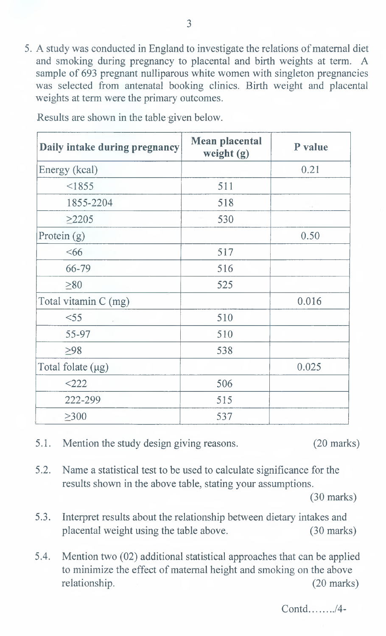5. A study was conducted in England to investigate the relations of maternal diet and smoking during pregnancy to placental and birth weights at term. A sample of 693 pregnant nulliparous white women with singleton pregnancies was selected from antenatal booking clinics. Birth weight and placental weights at term were the primary outcomes.

| Daily intake during pregnancy | <b>Mean placental</b><br>weight (g) | P value |
|-------------------------------|-------------------------------------|---------|
| Energy (kcal)                 |                                     | 0.21    |
| < 1855                        | 511                                 |         |
| 1855-2204                     | 518                                 | $\sim$  |
| $\geq$ 2205                   | 530                                 |         |
| Protein (g)                   |                                     | 0.50    |
| &566                          | 517                                 |         |
| 66-79                         | 516                                 |         |
| $\geq 80$                     | 525                                 |         |
| Total vitamin C (mg)          |                                     | 0.016   |
| $<$ 55                        | 510                                 |         |
| 55-97                         | 510                                 |         |
| $\geq 98$                     | 538                                 |         |
| Total folate (µg)             |                                     | 0.025   |
| $<$ 222                       | 506                                 |         |
| 222-299                       | 515                                 |         |
| $\geq 300$                    | 537                                 |         |

Results are shown in the table given below.

- 5.1. Mention the study design giving reasons. (20 marks)
- 
- 5.2. Name a statistical test to be used to calculate significance for the results shown in the above table, stating your assumptions.

(30 marks)

- 5.3. Interpret results about the relationship between dietary intakes and placental weight using the table above. (30 marks)
- 5.4. Mention two (02) additional statistical approaches that can be applied to minimize the effect of maternal height and smoking on the above relationship. (20 marks)

Contd *,14-*